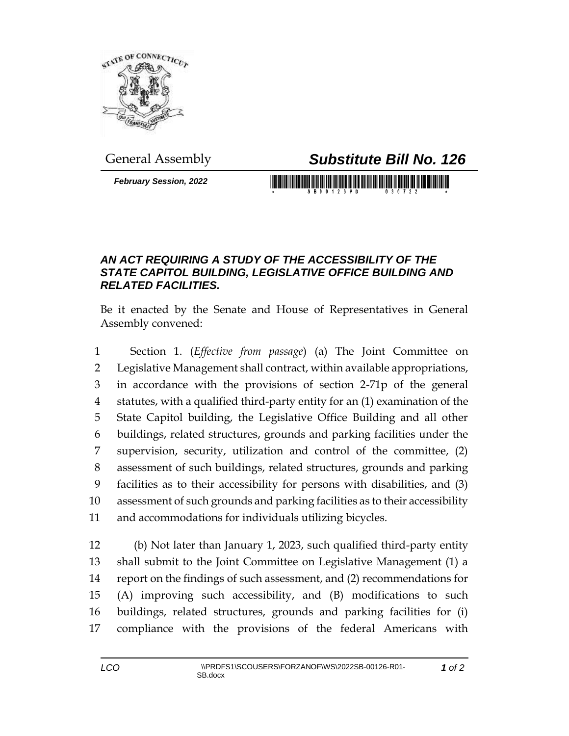

## General Assembly *Substitute Bill No. 126*

*February Session, 2022*

## <u> 1999 - Johann Maria Maria Maria Maria Maria Maria Maria Maria Maria Maria Maria Maria Maria Maria Maria Mari</u>

## *AN ACT REQUIRING A STUDY OF THE ACCESSIBILITY OF THE STATE CAPITOL BUILDING, LEGISLATIVE OFFICE BUILDING AND RELATED FACILITIES.*

Be it enacted by the Senate and House of Representatives in General Assembly convened:

 Section 1. (*Effective from passage*) (a) The Joint Committee on Legislative Management shall contract, within available appropriations, in accordance with the provisions of section 2-71p of the general statutes, with a qualified third-party entity for an (1) examination of the State Capitol building, the Legislative Office Building and all other buildings, related structures, grounds and parking facilities under the supervision, security, utilization and control of the committee, (2) assessment of such buildings, related structures, grounds and parking facilities as to their accessibility for persons with disabilities, and (3) assessment of such grounds and parking facilities as to their accessibility and accommodations for individuals utilizing bicycles.

 (b) Not later than January 1, 2023, such qualified third-party entity shall submit to the Joint Committee on Legislative Management (1) a report on the findings of such assessment, and (2) recommendations for (A) improving such accessibility, and (B) modifications to such buildings, related structures, grounds and parking facilities for (i) compliance with the provisions of the federal Americans with